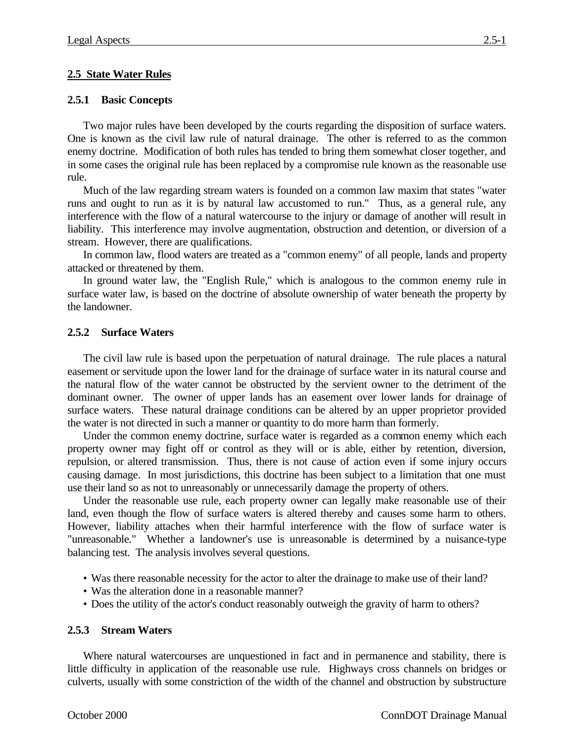# **2.5 State Water Rules**

## **2.5.1 Basic Concepts**

Two major rules have been developed by the courts regarding the disposition of surface waters. One is known as the civil law rule of natural drainage. The other is referred to as the common enemy doctrine. Modification of both rules has tended to bring them somewhat closer together, and in some cases the original rule has been replaced by a compromise rule known as the reasonable use rule.

Much of the law regarding stream waters is founded on a common law maxim that states "water runs and ought to run as it is by natural law accustomed to run." Thus, as a general rule, any interference with the flow of a natural watercourse to the injury or damage of another will result in liability. This interference may involve augmentation, obstruction and detention, or diversion of a stream. However, there are qualifications.

In common law, flood waters are treated as a "common enemy" of all people, lands and property attacked or threatened by them.

In ground water law, the "English Rule," which is analogous to the common enemy rule in surface water law, is based on the doctrine of absolute ownership of water beneath the property by the landowner.

# **2.5.2 Surface Waters**

The civil law rule is based upon the perpetuation of natural drainage. The rule places a natural easement or servitude upon the lower land for the drainage of surface water in its natural course and the natural flow of the water cannot be obstructed by the servient owner to the detriment of the dominant owner. The owner of upper lands has an easement over lower lands for drainage of surface waters. These natural drainage conditions can be altered by an upper proprietor provided the water is not directed in such a manner or quantity to do more harm than formerly.

Under the common enemy doctrine, surface water is regarded as a common enemy which each property owner may fight off or control as they will or is able, either by retention, diversion, repulsion, or altered transmission. Thus, there is not cause of action even if some injury occurs causing damage. In most jurisdictions, this doctrine has been subject to a limitation that one must use their land so as not to unreasonably or unnecessarily damage the property of others.

Under the reasonable use rule, each property owner can legally make reasonable use of their land, even though the flow of surface waters is altered thereby and causes some harm to others. However, liability attaches when their harmful interference with the flow of surface water is "unreasonable." Whether a landowner's use is unreasonable is determined by a nuisance-type balancing test. The analysis involves several questions.

- Was there reasonable necessity for the actor to alter the drainage to make use of their land?
- Was the alteration done in a reasonable manner?
- Does the utility of the actor's conduct reasonably outweigh the gravity of harm to others?

## **2.5.3 Stream Waters**

Where natural watercourses are unquestioned in fact and in permanence and stability, there is little difficulty in application of the reasonable use rule. Highways cross channels on bridges or culverts, usually with some constriction of the width of the channel and obstruction by substructure